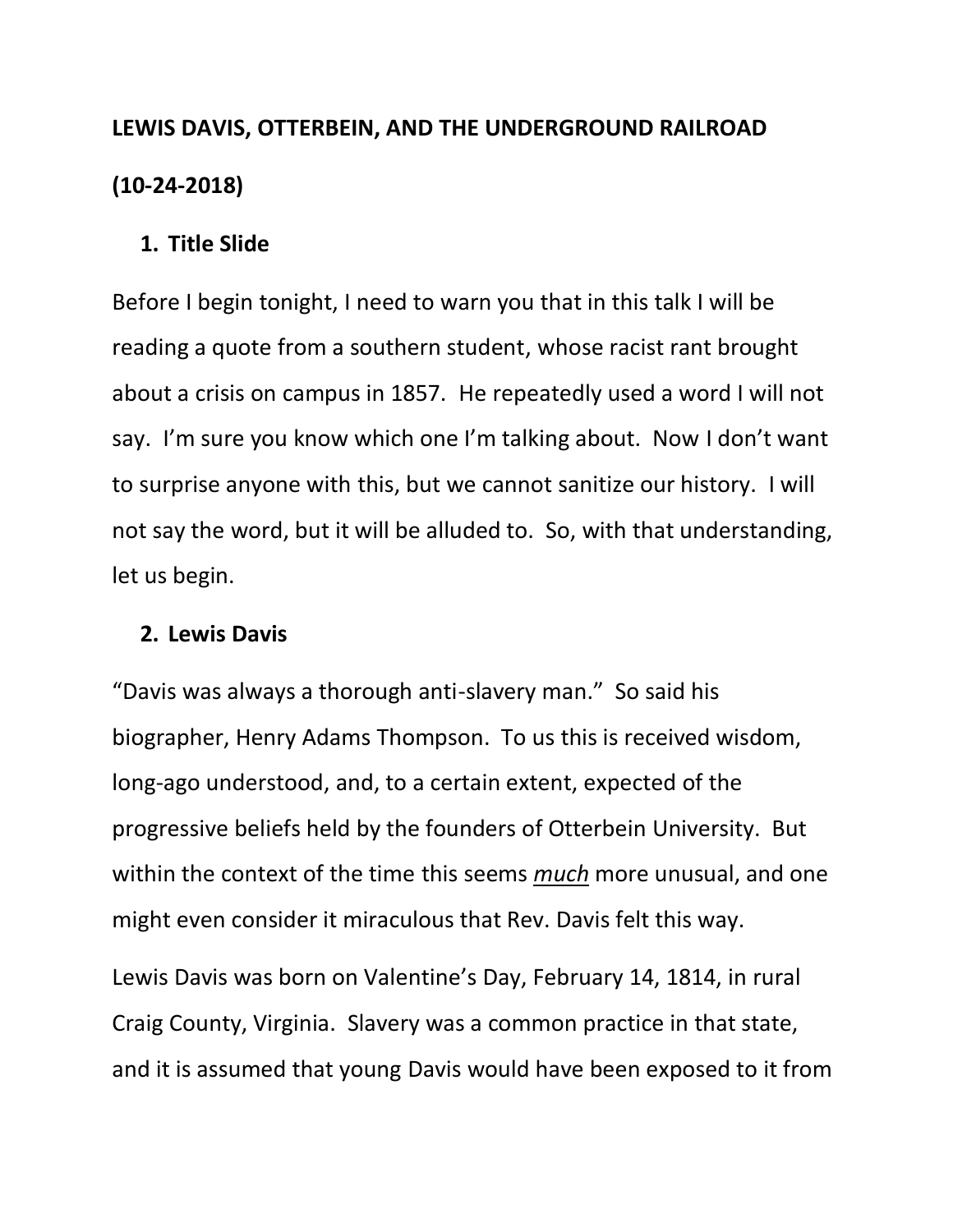# **LEWIS DAVIS, OTTERBEIN, AND THE UNDERGROUND RAILROAD (10-24-2018)**

## **1. Title Slide**

Before I begin tonight, I need to warn you that in this talk I will be reading a quote from a southern student, whose racist rant brought about a crisis on campus in 1857. He repeatedly used a word I will not say. I'm sure you know which one I'm talking about. Now I don't want to surprise anyone with this, but we cannot sanitize our history. I will not say the word, but it will be alluded to. So, with that understanding, let us begin.

### **2. Lewis Davis**

"Davis was always a thorough anti-slavery man." So said his biographer, Henry Adams Thompson. To us this is received wisdom, long-ago understood, and, to a certain extent, expected of the progressive beliefs held by the founders of Otterbein University. But within the context of the time this seems *much* more unusual, and one might even consider it miraculous that Rev. Davis felt this way.

Lewis Davis was born on Valentine's Day, February 14, 1814, in rural Craig County, Virginia. Slavery was a common practice in that state, and it is assumed that young Davis would have been exposed to it from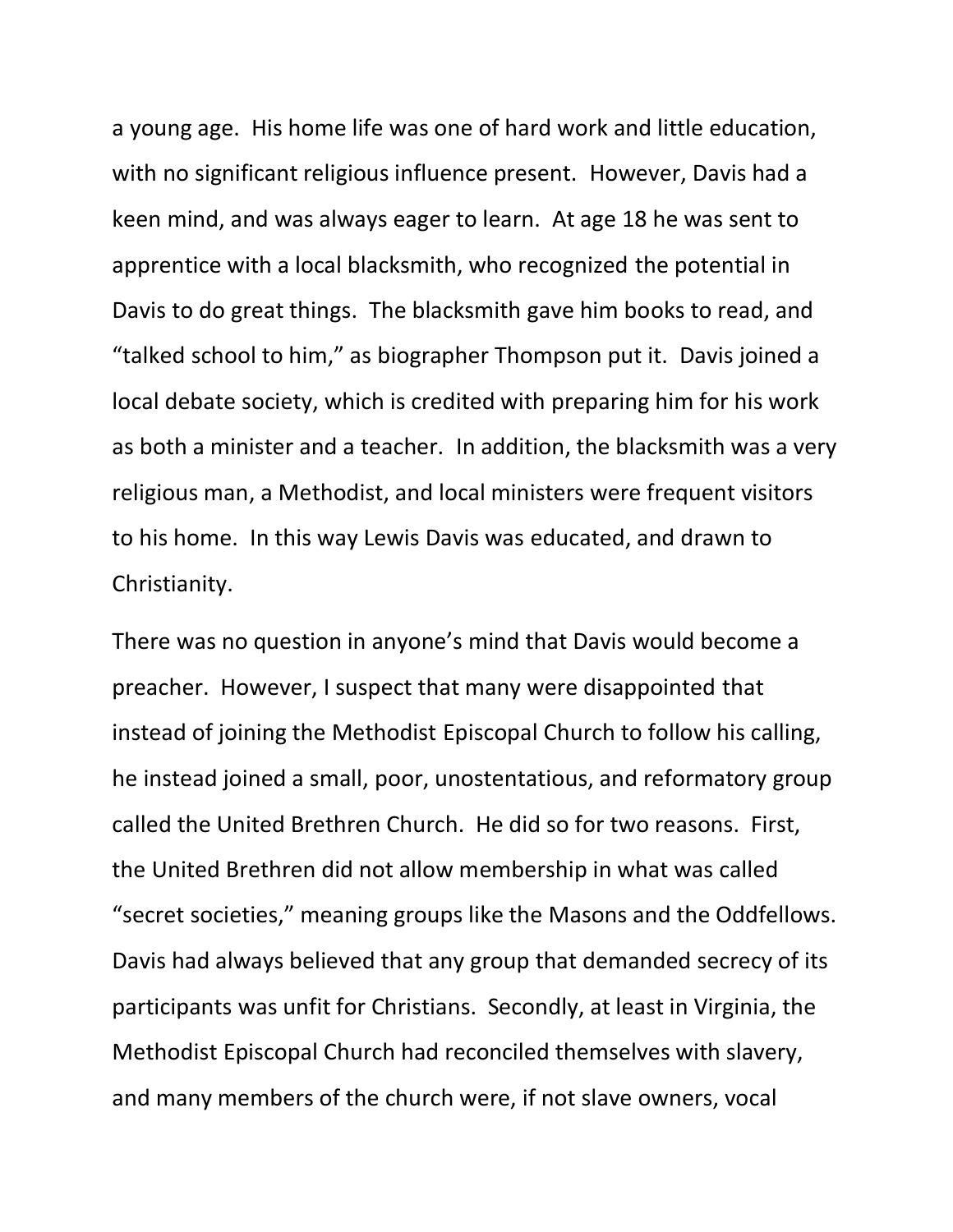a young age. His home life was one of hard work and little education, with no significant religious influence present. However, Davis had a keen mind, and was always eager to learn. At age 18 he was sent to apprentice with a local blacksmith, who recognized the potential in Davis to do great things. The blacksmith gave him books to read, and "talked school to him," as biographer Thompson put it. Davis joined a local debate society, which is credited with preparing him for his work as both a minister and a teacher. In addition, the blacksmith was a very religious man, a Methodist, and local ministers were frequent visitors to his home. In this way Lewis Davis was educated, and drawn to Christianity.

There was no question in anyone's mind that Davis would become a preacher. However, I suspect that many were disappointed that instead of joining the Methodist Episcopal Church to follow his calling, he instead joined a small, poor, unostentatious, and reformatory group called the United Brethren Church. He did so for two reasons. First, the United Brethren did not allow membership in what was called "secret societies," meaning groups like the Masons and the Oddfellows. Davis had always believed that any group that demanded secrecy of its participants was unfit for Christians. Secondly, at least in Virginia, the Methodist Episcopal Church had reconciled themselves with slavery, and many members of the church were, if not slave owners, vocal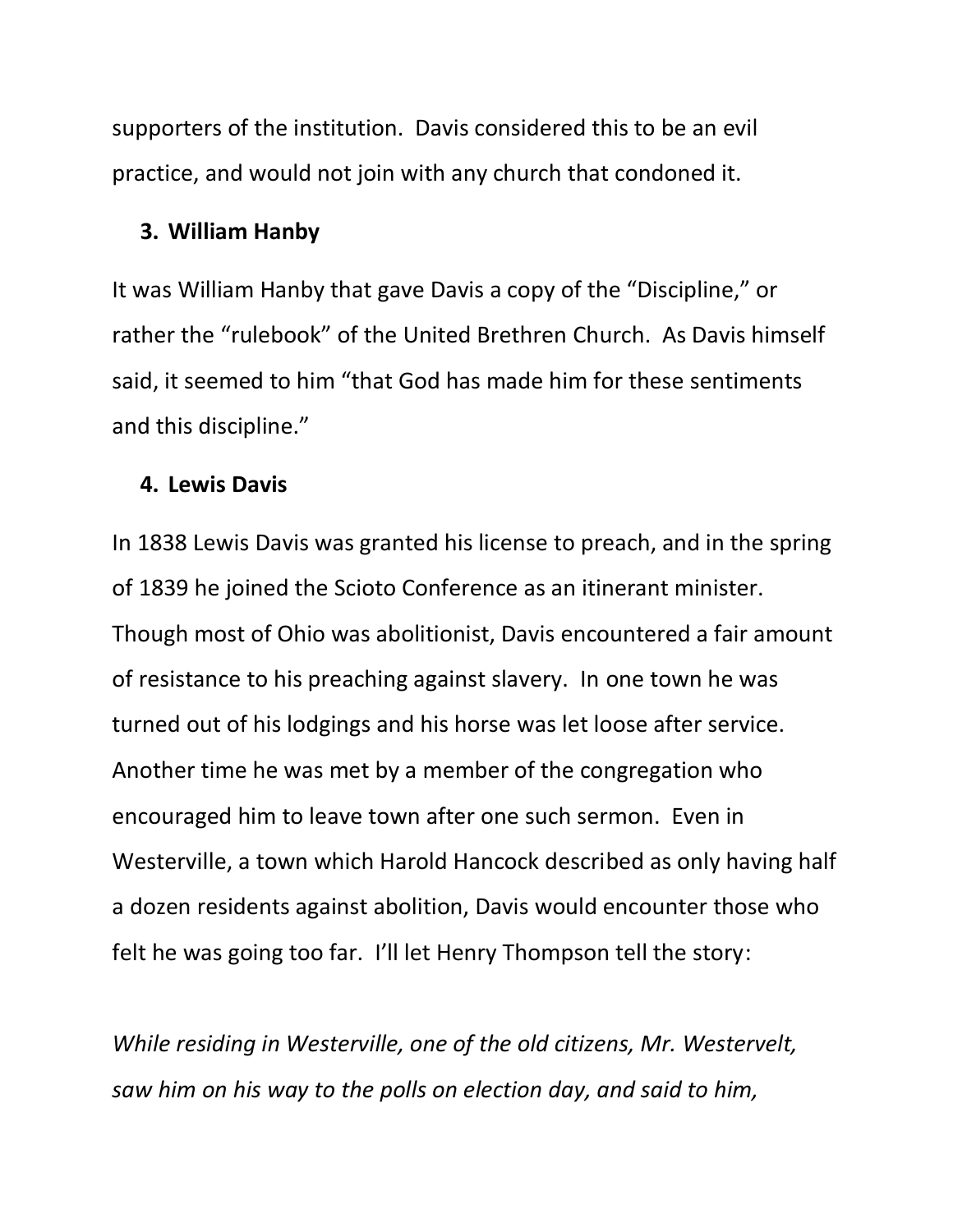supporters of the institution. Davis considered this to be an evil practice, and would not join with any church that condoned it.

#### **3. William Hanby**

It was William Hanby that gave Davis a copy of the "Discipline," or rather the "rulebook" of the United Brethren Church. As Davis himself said, it seemed to him "that God has made him for these sentiments and this discipline."

#### **4. Lewis Davis**

In 1838 Lewis Davis was granted his license to preach, and in the spring of 1839 he joined the Scioto Conference as an itinerant minister. Though most of Ohio was abolitionist, Davis encountered a fair amount of resistance to his preaching against slavery. In one town he was turned out of his lodgings and his horse was let loose after service. Another time he was met by a member of the congregation who encouraged him to leave town after one such sermon. Even in Westerville, a town which Harold Hancock described as only having half a dozen residents against abolition, Davis would encounter those who felt he was going too far. I'll let Henry Thompson tell the story:

*While residing in Westerville, one of the old citizens, Mr. Westervelt, saw him on his way to the polls on election day, and said to him,*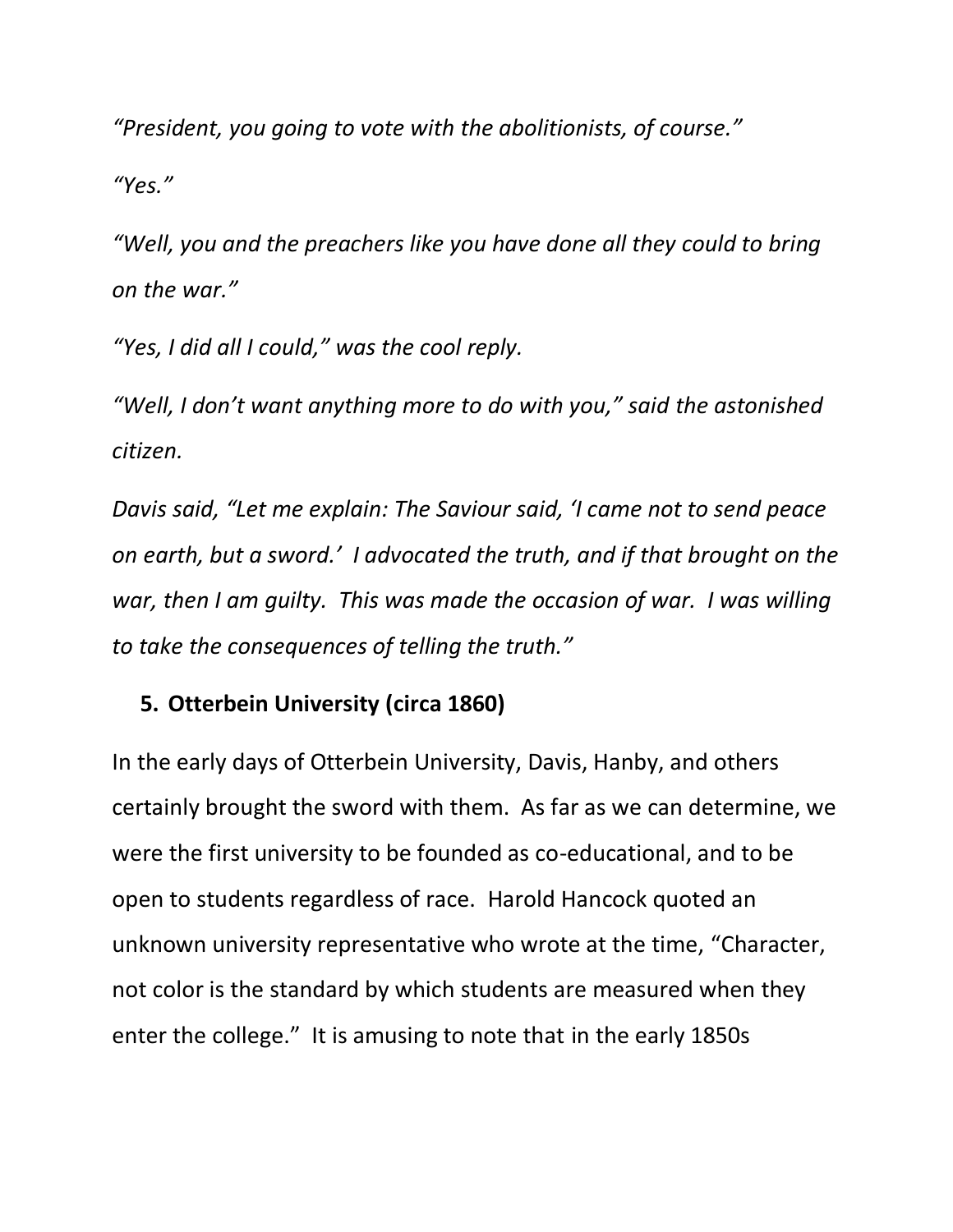*"President, you going to vote with the abolitionists, of course."*

*"Yes."*

*"Well, you and the preachers like you have done all they could to bring on the war."*

*"Yes, I did all I could," was the cool reply.*

*"Well, I don't want anything more to do with you," said the astonished citizen.*

*Davis said, "Let me explain: The Saviour said, 'I came not to send peace on earth, but a sword.' I advocated the truth, and if that brought on the war, then I am guilty. This was made the occasion of war. I was willing to take the consequences of telling the truth."*

## **5. Otterbein University (circa 1860)**

In the early days of Otterbein University, Davis, Hanby, and others certainly brought the sword with them. As far as we can determine, we were the first university to be founded as co-educational, and to be open to students regardless of race. Harold Hancock quoted an unknown university representative who wrote at the time, "Character, not color is the standard by which students are measured when they enter the college." It is amusing to note that in the early 1850s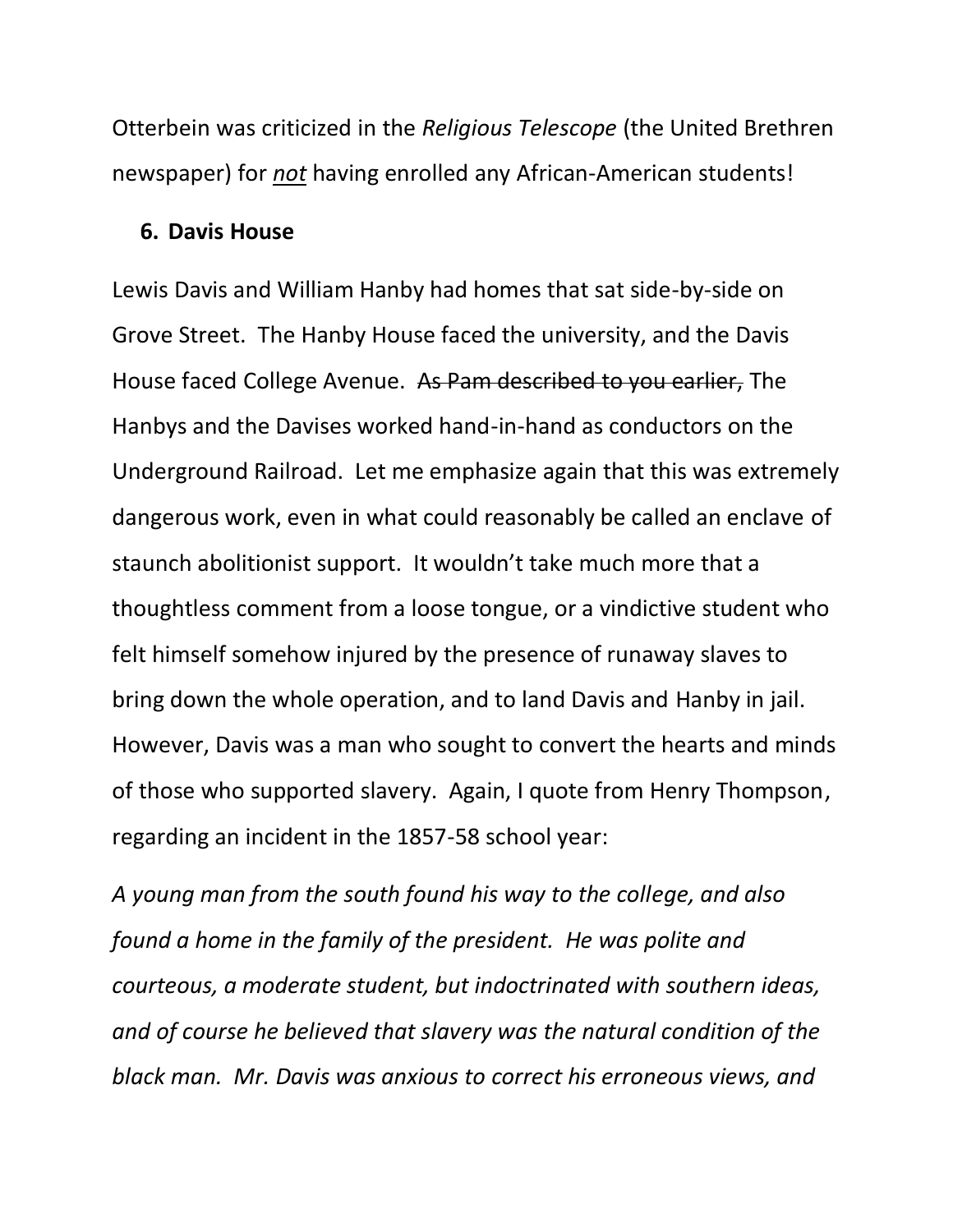Otterbein was criticized in the *Religious Telescope* (the United Brethren newspaper) for *not* having enrolled any African-American students!

#### **6. Davis House**

Lewis Davis and William Hanby had homes that sat side-by-side on Grove Street. The Hanby House faced the university, and the Davis House faced College Avenue. As Pam described to you earlier, The Hanbys and the Davises worked hand-in-hand as conductors on the Underground Railroad. Let me emphasize again that this was extremely dangerous work, even in what could reasonably be called an enclave of staunch abolitionist support. It wouldn't take much more that a thoughtless comment from a loose tongue, or a vindictive student who felt himself somehow injured by the presence of runaway slaves to bring down the whole operation, and to land Davis and Hanby in jail. However, Davis was a man who sought to convert the hearts and minds of those who supported slavery. Again, I quote from Henry Thompson, regarding an incident in the 1857-58 school year:

*A young man from the south found his way to the college, and also found a home in the family of the president. He was polite and courteous, a moderate student, but indoctrinated with southern ideas, and of course he believed that slavery was the natural condition of the black man. Mr. Davis was anxious to correct his erroneous views, and*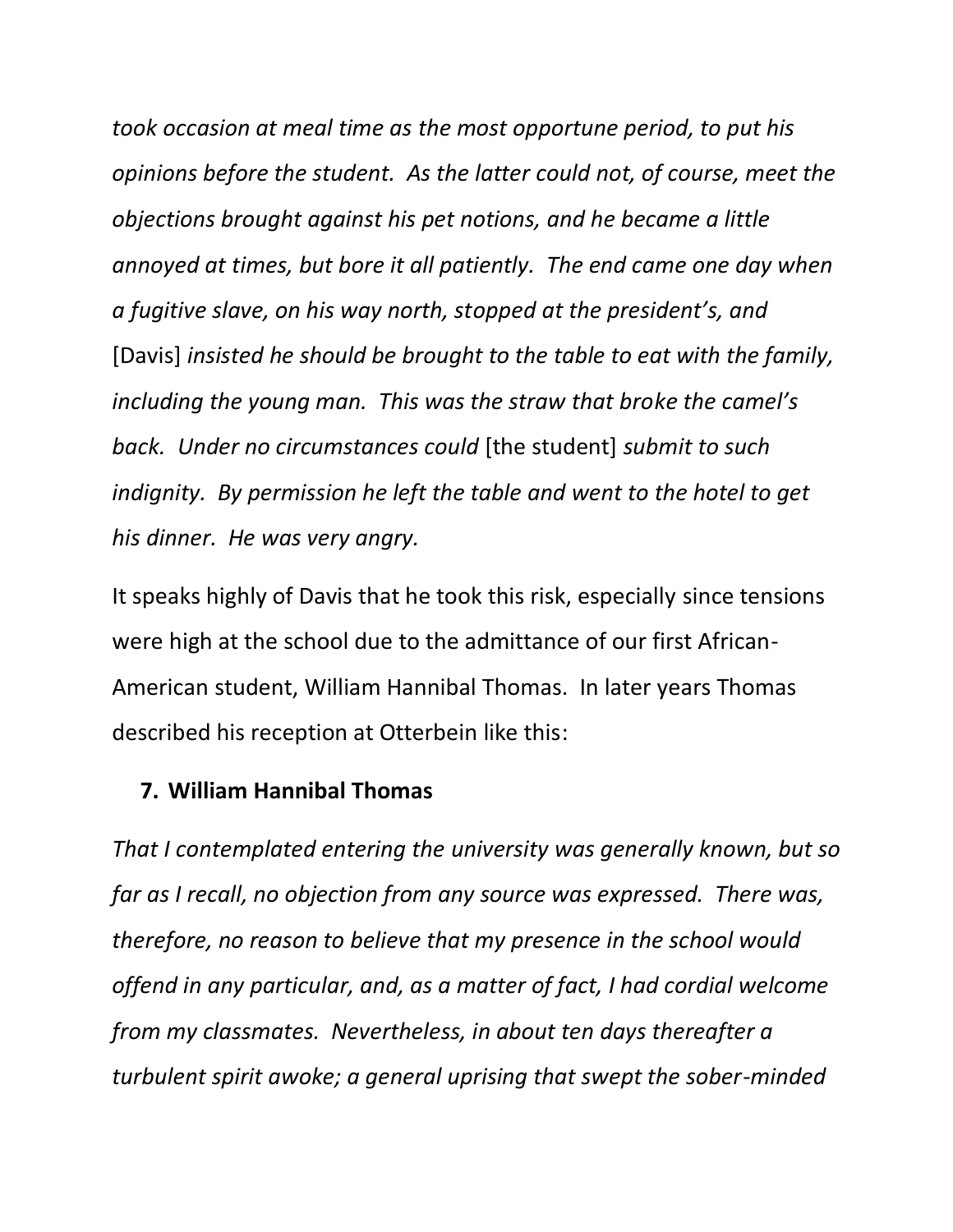*took occasion at meal time as the most opportune period, to put his opinions before the student. As the latter could not, of course, meet the objections brought against his pet notions, and he became a little annoyed at times, but bore it all patiently. The end came one day when a fugitive slave, on his way north, stopped at the president's, and* [Davis] *insisted he should be brought to the table to eat with the family, including the young man. This was the straw that broke the camel's back. Under no circumstances could* [the student] *submit to such indignity. By permission he left the table and went to the hotel to get his dinner. He was very angry.*

It speaks highly of Davis that he took this risk, especially since tensions were high at the school due to the admittance of our first African-American student, William Hannibal Thomas. In later years Thomas described his reception at Otterbein like this:

#### **7. William Hannibal Thomas**

*That I contemplated entering the university was generally known, but so far as I recall, no objection from any source was expressed. There was, therefore, no reason to believe that my presence in the school would offend in any particular, and, as a matter of fact, I had cordial welcome from my classmates. Nevertheless, in about ten days thereafter a turbulent spirit awoke; a general uprising that swept the sober-minded*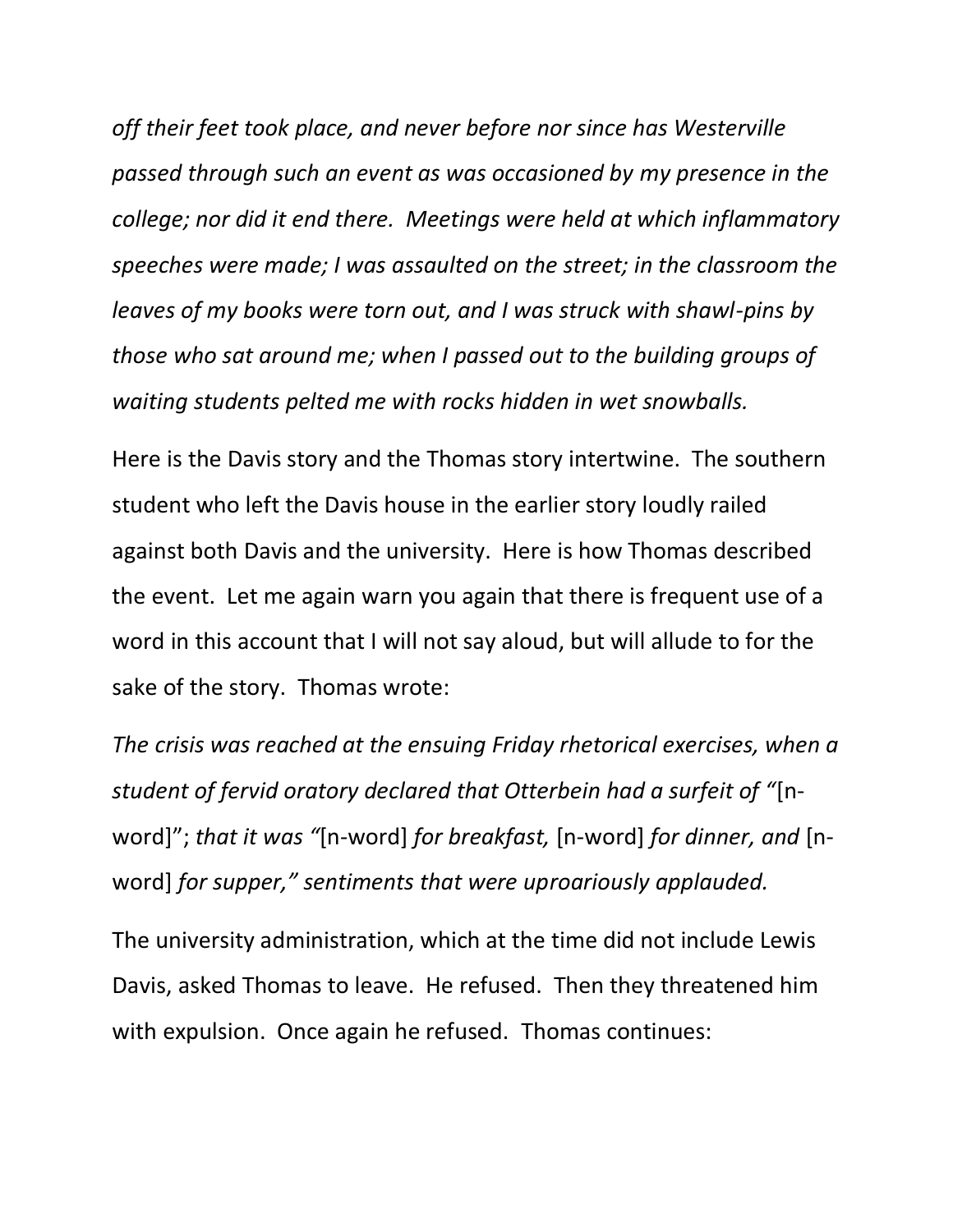*off their feet took place, and never before nor since has Westerville passed through such an event as was occasioned by my presence in the college; nor did it end there. Meetings were held at which inflammatory speeches were made; I was assaulted on the street; in the classroom the leaves of my books were torn out, and I was struck with shawl-pins by those who sat around me; when I passed out to the building groups of waiting students pelted me with rocks hidden in wet snowballs.*

Here is the Davis story and the Thomas story intertwine. The southern student who left the Davis house in the earlier story loudly railed against both Davis and the university. Here is how Thomas described the event. Let me again warn you again that there is frequent use of a word in this account that I will not say aloud, but will allude to for the sake of the story. Thomas wrote:

*The crisis was reached at the ensuing Friday rhetorical exercises, when a student of fervid oratory declared that Otterbein had a surfeit of "*[nword]"; *that it was "*[n-word] *for breakfast,* [n-word] *for dinner, and* [nword] *for supper," sentiments that were uproariously applauded.*

The university administration, which at the time did not include Lewis Davis, asked Thomas to leave. He refused. Then they threatened him with expulsion. Once again he refused. Thomas continues: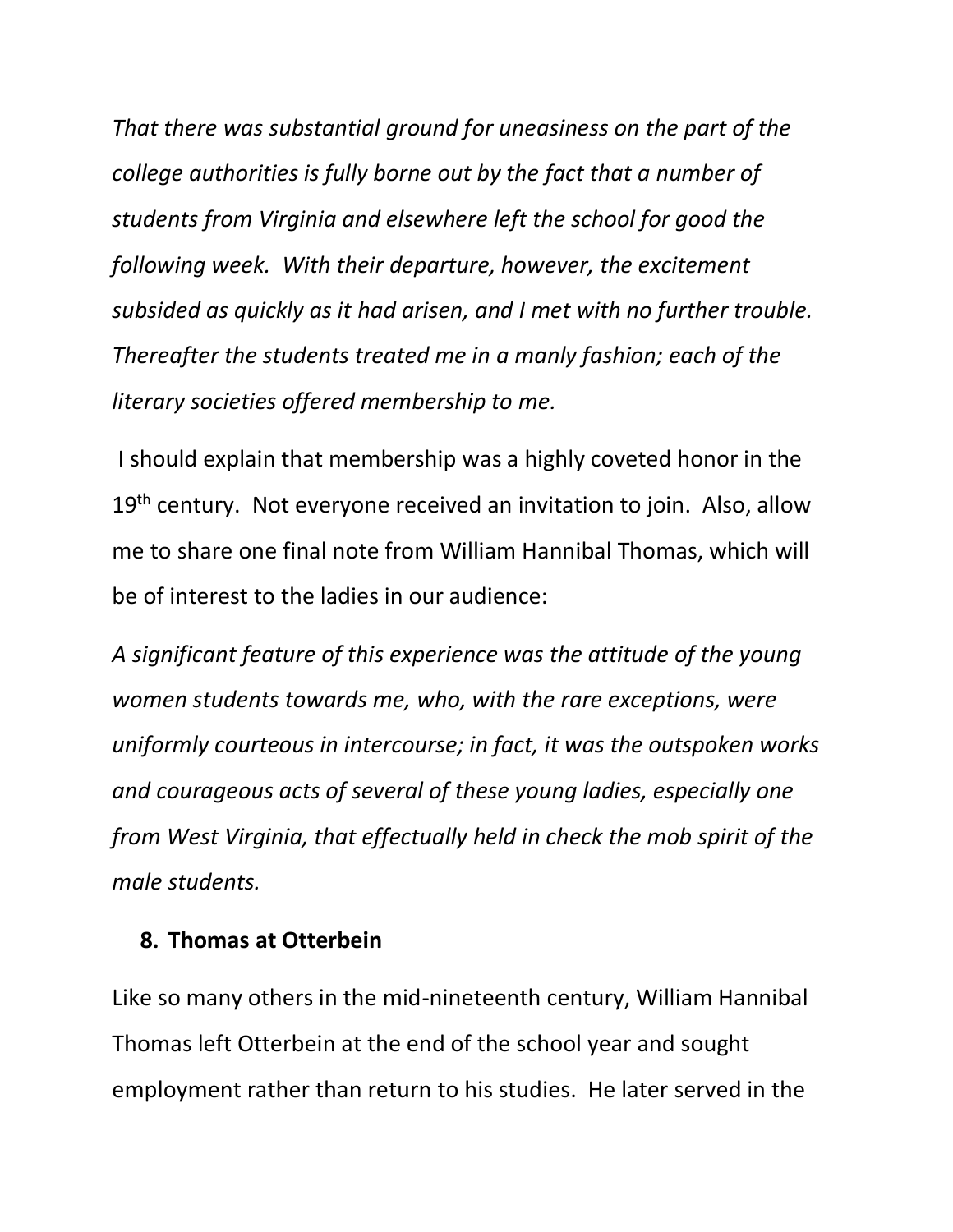*That there was substantial ground for uneasiness on the part of the college authorities is fully borne out by the fact that a number of students from Virginia and elsewhere left the school for good the following week. With their departure, however, the excitement subsided as quickly as it had arisen, and I met with no further trouble. Thereafter the students treated me in a manly fashion; each of the literary societies offered membership to me.*

I should explain that membership was a highly coveted honor in the 19<sup>th</sup> century. Not everyone received an invitation to join. Also, allow me to share one final note from William Hannibal Thomas, which will be of interest to the ladies in our audience:

*A significant feature of this experience was the attitude of the young women students towards me, who, with the rare exceptions, were uniformly courteous in intercourse; in fact, it was the outspoken works and courageous acts of several of these young ladies, especially one from West Virginia, that effectually held in check the mob spirit of the male students.*

#### **8. Thomas at Otterbein**

Like so many others in the mid-nineteenth century, William Hannibal Thomas left Otterbein at the end of the school year and sought employment rather than return to his studies. He later served in the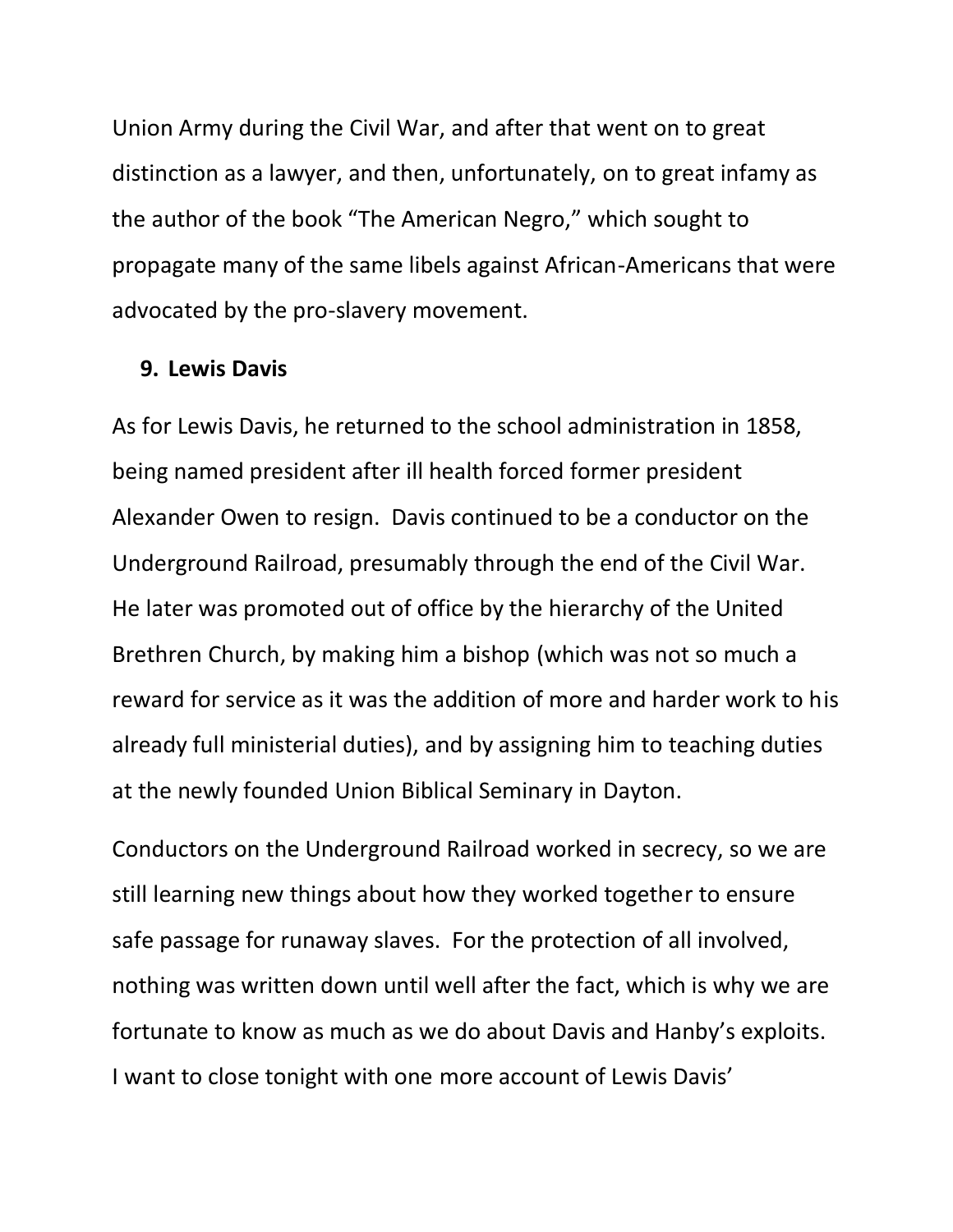Union Army during the Civil War, and after that went on to great distinction as a lawyer, and then, unfortunately, on to great infamy as the author of the book "The American Negro," which sought to propagate many of the same libels against African-Americans that were advocated by the pro-slavery movement.

#### **9. Lewis Davis**

As for Lewis Davis, he returned to the school administration in 1858, being named president after ill health forced former president Alexander Owen to resign. Davis continued to be a conductor on the Underground Railroad, presumably through the end of the Civil War. He later was promoted out of office by the hierarchy of the United Brethren Church, by making him a bishop (which was not so much a reward for service as it was the addition of more and harder work to his already full ministerial duties), and by assigning him to teaching duties at the newly founded Union Biblical Seminary in Dayton.

Conductors on the Underground Railroad worked in secrecy, so we are still learning new things about how they worked together to ensure safe passage for runaway slaves. For the protection of all involved, nothing was written down until well after the fact, which is why we are fortunate to know as much as we do about Davis and Hanby's exploits. I want to close tonight with one more account of Lewis Davis'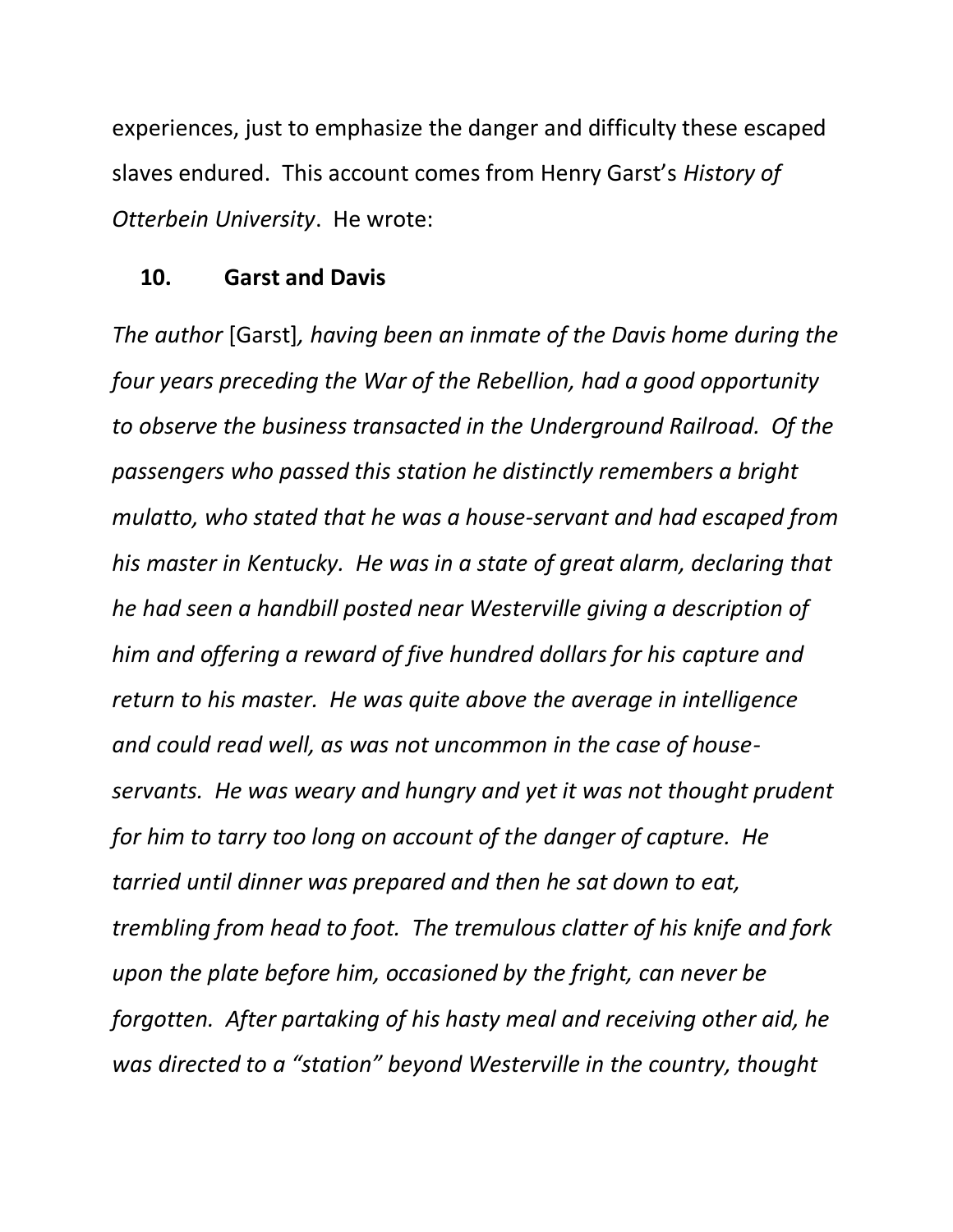experiences, just to emphasize the danger and difficulty these escaped slaves endured. This account comes from Henry Garst's *History of Otterbein University*. He wrote:

#### **10. Garst and Davis**

*The author* [Garst]*, having been an inmate of the Davis home during the four years preceding the War of the Rebellion, had a good opportunity to observe the business transacted in the Underground Railroad. Of the passengers who passed this station he distinctly remembers a bright mulatto, who stated that he was a house-servant and had escaped from his master in Kentucky. He was in a state of great alarm, declaring that he had seen a handbill posted near Westerville giving a description of him and offering a reward of five hundred dollars for his capture and return to his master. He was quite above the average in intelligence and could read well, as was not uncommon in the case of houseservants. He was weary and hungry and yet it was not thought prudent for him to tarry too long on account of the danger of capture. He tarried until dinner was prepared and then he sat down to eat, trembling from head to foot. The tremulous clatter of his knife and fork upon the plate before him, occasioned by the fright, can never be forgotten. After partaking of his hasty meal and receiving other aid, he was directed to a "station" beyond Westerville in the country, thought*